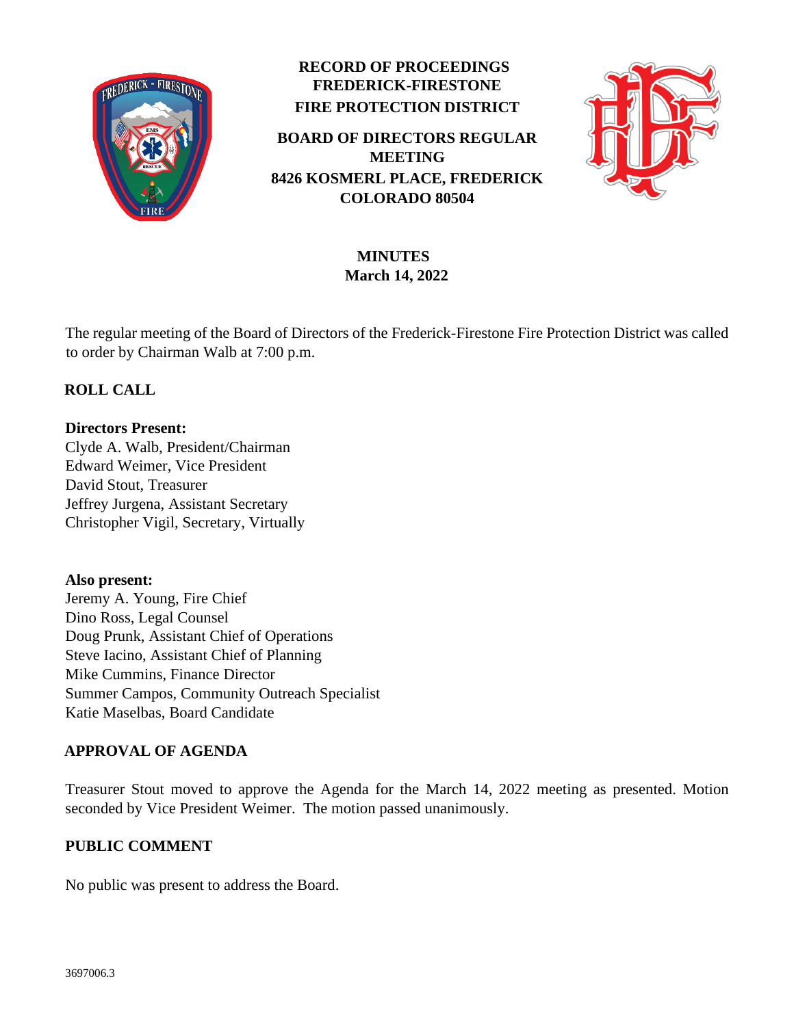

# **RECORD OF PROCEEDINGS FREDERICK-FIRESTONE FIRE PROTECTION DISTRICT**

**BOARD OF DIRECTORS REGULAR MEETING 8426 KOSMERL PLACE, FREDERICK COLORADO 80504**



# **MINUTES March 14, 2022**

The regular meeting of the Board of Directors of the Frederick-Firestone Fire Protection District was called to order by Chairman Walb at 7:00 p.m.

# **ROLL CALL**

## **Directors Present:**

Clyde A. Walb, President/Chairman Edward Weimer, Vice President David Stout, Treasurer Jeffrey Jurgena, Assistant Secretary Christopher Vigil, Secretary, Virtually

**Also present:**  Jeremy A. Young, Fire Chief Dino Ross, Legal Counsel Doug Prunk, Assistant Chief of Operations Steve Iacino, Assistant Chief of Planning Mike Cummins, Finance Director Summer Campos, Community Outreach Specialist

# **APPROVAL OF AGENDA**

Katie Maselbas, Board Candidate

Treasurer Stout moved to approve the Agenda for the March 14, 2022 meeting as presented. Motion seconded by Vice President Weimer. The motion passed unanimously.

# **PUBLIC COMMENT**

No public was present to address the Board.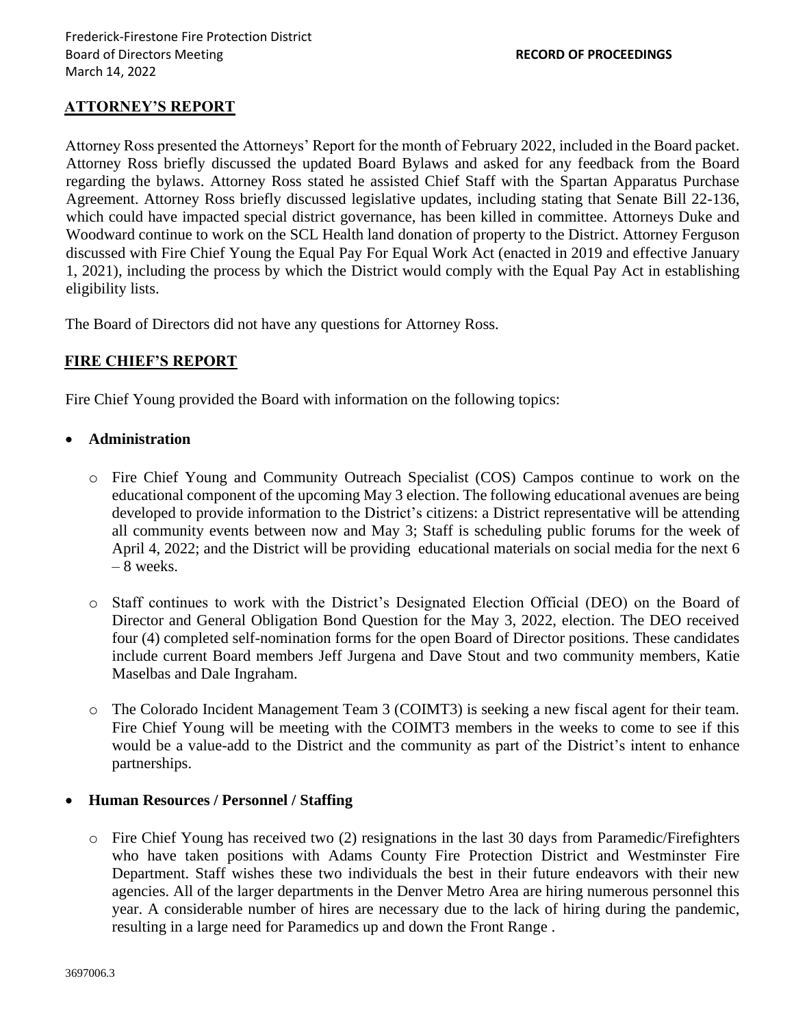## **ATTORNEY'S REPORT**

Attorney Ross presented the Attorneys' Report for the month of February 2022, included in the Board packet. Attorney Ross briefly discussed the updated Board Bylaws and asked for any feedback from the Board regarding the bylaws. Attorney Ross stated he assisted Chief Staff with the Spartan Apparatus Purchase Agreement. Attorney Ross briefly discussed legislative updates, including stating that Senate Bill 22-136, which could have impacted special district governance, has been killed in committee. Attorneys Duke and Woodward continue to work on the SCL Health land donation of property to the District. Attorney Ferguson discussed with Fire Chief Young the Equal Pay For Equal Work Act (enacted in 2019 and effective January 1, 2021), including the process by which the District would comply with the Equal Pay Act in establishing eligibility lists.

The Board of Directors did not have any questions for Attorney Ross.

## **FIRE CHIEF'S REPORT**

Fire Chief Young provided the Board with information on the following topics:

#### • **Administration**

- o Fire Chief Young and Community Outreach Specialist (COS) Campos continue to work on the educational component of the upcoming May 3 election. The following educational avenues are being developed to provide information to the District's citizens: a District representative will be attending all community events between now and May 3; Staff is scheduling public forums for the week of April 4, 2022; and the District will be providing educational materials on social media for the next 6 – 8 weeks.
- o Staff continues to work with the District's Designated Election Official (DEO) on the Board of Director and General Obligation Bond Question for the May 3, 2022, election. The DEO received four (4) completed self-nomination forms for the open Board of Director positions. These candidates include current Board members Jeff Jurgena and Dave Stout and two community members, Katie Maselbas and Dale Ingraham.
- o The Colorado Incident Management Team 3 (COIMT3) is seeking a new fiscal agent for their team. Fire Chief Young will be meeting with the COIMT3 members in the weeks to come to see if this would be a value-add to the District and the community as part of the District's intent to enhance partnerships.

#### • **Human Resources / Personnel / Staffing**

 $\circ$  Fire Chief Young has received two (2) resignations in the last 30 days from Paramedic/Firefighters who have taken positions with Adams County Fire Protection District and Westminster Fire Department. Staff wishes these two individuals the best in their future endeavors with their new agencies. All of the larger departments in the Denver Metro Area are hiring numerous personnel this year. A considerable number of hires are necessary due to the lack of hiring during the pandemic, resulting in a large need for Paramedics up and down the Front Range .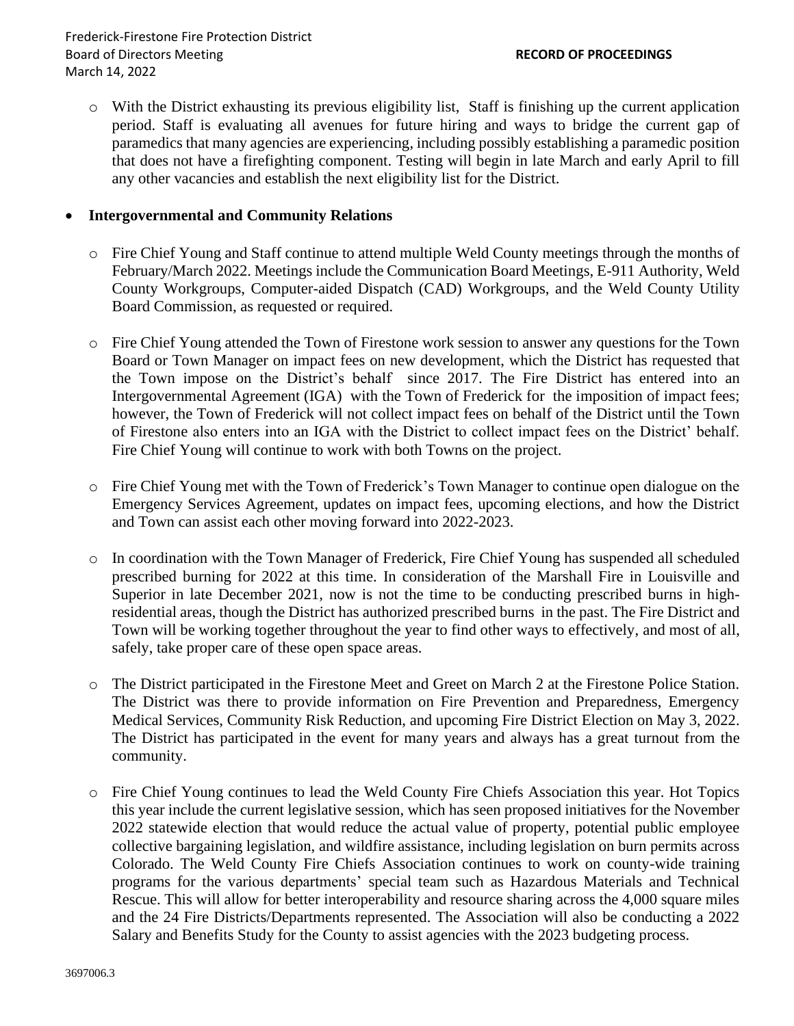o With the District exhausting its previous eligibility list, Staff is finishing up the current application period. Staff is evaluating all avenues for future hiring and ways to bridge the current gap of paramedics that many agencies are experiencing, including possibly establishing a paramedic position that does not have a firefighting component. Testing will begin in late March and early April to fill any other vacancies and establish the next eligibility list for the District.

#### • **Intergovernmental and Community Relations**

- o Fire Chief Young and Staff continue to attend multiple Weld County meetings through the months of February/March 2022. Meetings include the Communication Board Meetings, E-911 Authority, Weld County Workgroups, Computer-aided Dispatch (CAD) Workgroups, and the Weld County Utility Board Commission, as requested or required.
- o Fire Chief Young attended the Town of Firestone work session to answer any questions for the Town Board or Town Manager on impact fees on new development, which the District has requested that the Town impose on the District's behalf since 2017. The Fire District has entered into an Intergovernmental Agreement (IGA) with the Town of Frederick for the imposition of impact fees; however, the Town of Frederick will not collect impact fees on behalf of the District until the Town of Firestone also enters into an IGA with the District to collect impact fees on the District' behalf. Fire Chief Young will continue to work with both Towns on the project.
- o Fire Chief Young met with the Town of Frederick's Town Manager to continue open dialogue on the Emergency Services Agreement, updates on impact fees, upcoming elections, and how the District and Town can assist each other moving forward into 2022-2023.
- o In coordination with the Town Manager of Frederick, Fire Chief Young has suspended all scheduled prescribed burning for 2022 at this time. In consideration of the Marshall Fire in Louisville and Superior in late December 2021, now is not the time to be conducting prescribed burns in highresidential areas, though the District has authorized prescribed burns in the past. The Fire District and Town will be working together throughout the year to find other ways to effectively, and most of all, safely, take proper care of these open space areas.
- o The District participated in the Firestone Meet and Greet on March 2 at the Firestone Police Station. The District was there to provide information on Fire Prevention and Preparedness, Emergency Medical Services, Community Risk Reduction, and upcoming Fire District Election on May 3, 2022. The District has participated in the event for many years and always has a great turnout from the community.
- o Fire Chief Young continues to lead the Weld County Fire Chiefs Association this year. Hot Topics this year include the current legislative session, which has seen proposed initiatives for the November 2022 statewide election that would reduce the actual value of property, potential public employee collective bargaining legislation, and wildfire assistance, including legislation on burn permits across Colorado. The Weld County Fire Chiefs Association continues to work on county-wide training programs for the various departments' special team such as Hazardous Materials and Technical Rescue. This will allow for better interoperability and resource sharing across the 4,000 square miles and the 24 Fire Districts/Departments represented. The Association will also be conducting a 2022 Salary and Benefits Study for the County to assist agencies with the 2023 budgeting process.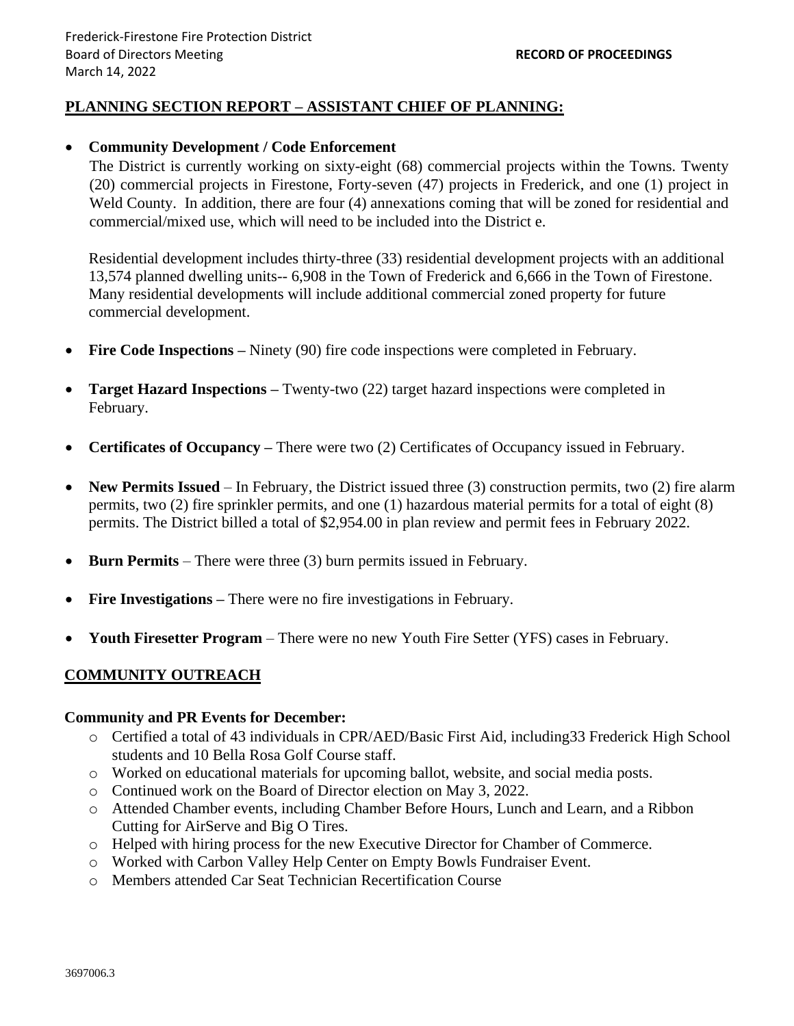## **PLANNING SECTION REPORT – ASSISTANT CHIEF OF PLANNING:**

#### • **Community Development / Code Enforcement**

The District is currently working on sixty-eight (68) commercial projects within the Towns. Twenty (20) commercial projects in Firestone, Forty-seven (47) projects in Frederick, and one (1) project in Weld County. In addition, there are four (4) annexations coming that will be zoned for residential and commercial/mixed use, which will need to be included into the District e.

Residential development includes thirty-three (33) residential development projects with an additional 13,574 planned dwelling units-- 6,908 in the Town of Frederick and 6,666 in the Town of Firestone. Many residential developments will include additional commercial zoned property for future commercial development.

- **Fire Code Inspections** Ninety (90) fire code inspections were completed in February.
- **Target Hazard Inspections** Twenty-two (22) target hazard inspections were completed in February.
- **Certificates of Occupancy** There were two (2) Certificates of Occupancy issued in February.
- **New Permits Issued** In February, the District issued three (3) construction permits, two (2) fire alarm permits, two (2) fire sprinkler permits, and one (1) hazardous material permits for a total of eight (8) permits. The District billed a total of \$2,954.00 in plan review and permit fees in February 2022.
- **Burn Permits** There were three (3) burn permits issued in February.
- **Fire Investigations** There were no fire investigations in February.
- **Youth Firesetter Program**  There were no new Youth Fire Setter (YFS) cases in February.

## **COMMUNITY OUTREACH**

#### **Community and PR Events for December:**

- o Certified a total of 43 individuals in CPR/AED/Basic First Aid, including33 Frederick High School students and 10 Bella Rosa Golf Course staff.
- o Worked on educational materials for upcoming ballot, website, and social media posts.
- o Continued work on the Board of Director election on May 3, 2022.
- o Attended Chamber events, including Chamber Before Hours, Lunch and Learn, and a Ribbon Cutting for AirServe and Big O Tires.
- o Helped with hiring process for the new Executive Director for Chamber of Commerce.
- o Worked with Carbon Valley Help Center on Empty Bowls Fundraiser Event.
- o Members attended Car Seat Technician Recertification Course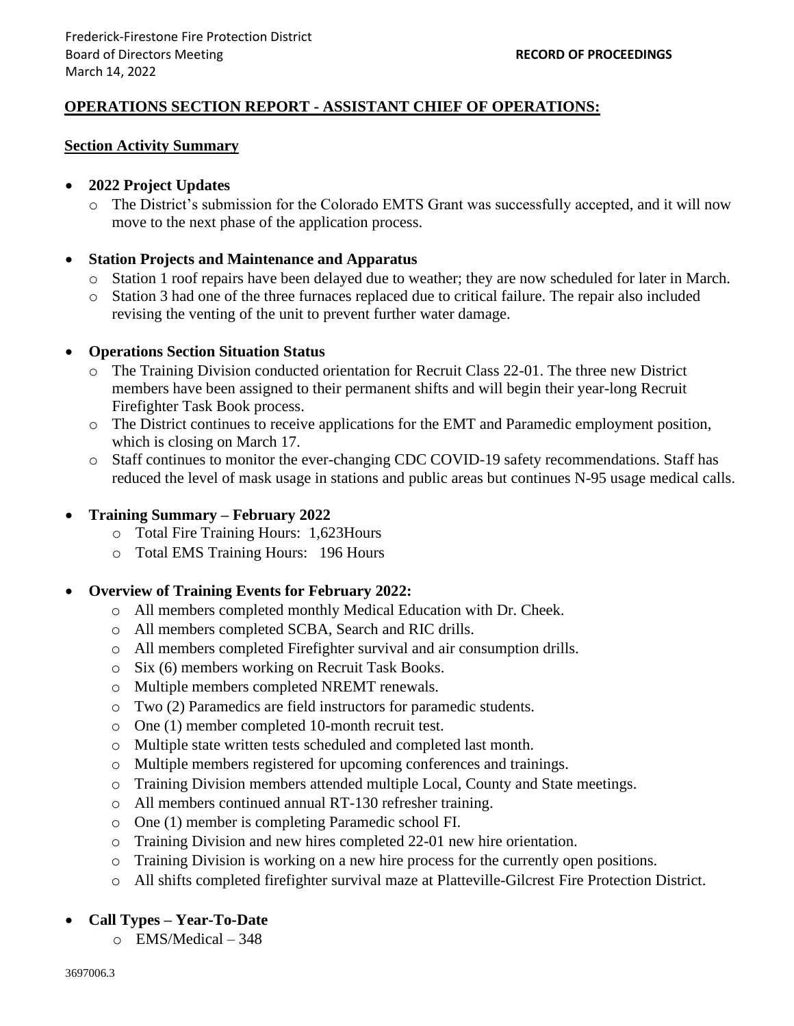# **OPERATIONS SECTION REPORT - ASSISTANT CHIEF OF OPERATIONS:**

#### **Section Activity Summary**

## • **2022 Project Updates**

o The District's submission for the Colorado EMTS Grant was successfully accepted, and it will now move to the next phase of the application process.

## • **Station Projects and Maintenance and Apparatus**

- o Station 1 roof repairs have been delayed due to weather; they are now scheduled for later in March.
- o Station 3 had one of the three furnaces replaced due to critical failure. The repair also included revising the venting of the unit to prevent further water damage.

#### • **Operations Section Situation Status**

- o The Training Division conducted orientation for Recruit Class 22-01. The three new District members have been assigned to their permanent shifts and will begin their year-long Recruit Firefighter Task Book process.
- o The District continues to receive applications for the EMT and Paramedic employment position, which is closing on March 17.
- o Staff continues to monitor the ever-changing CDC COVID-19 safety recommendations. Staff has reduced the level of mask usage in stations and public areas but continues N-95 usage medical calls.

## • **Training Summary – February 2022**

- o Total Fire Training Hours: 1,623Hours
- o Total EMS Training Hours: 196 Hours

## • **Overview of Training Events for February 2022:**

- o All members completed monthly Medical Education with Dr. Cheek.
- o All members completed SCBA, Search and RIC drills.
- o All members completed Firefighter survival and air consumption drills.
- o Six (6) members working on Recruit Task Books.
- o Multiple members completed NREMT renewals.
- o Two (2) Paramedics are field instructors for paramedic students.
- o One (1) member completed 10-month recruit test.
- o Multiple state written tests scheduled and completed last month.
- o Multiple members registered for upcoming conferences and trainings.
- o Training Division members attended multiple Local, County and State meetings.
- o All members continued annual RT-130 refresher training.
- o One (1) member is completing Paramedic school FI.
- o Training Division and new hires completed 22-01 new hire orientation.
- o Training Division is working on a new hire process for the currently open positions.
- o All shifts completed firefighter survival maze at Platteville-Gilcrest Fire Protection District.

## • **Call Types – Year-To-Date**

o EMS/Medical – 348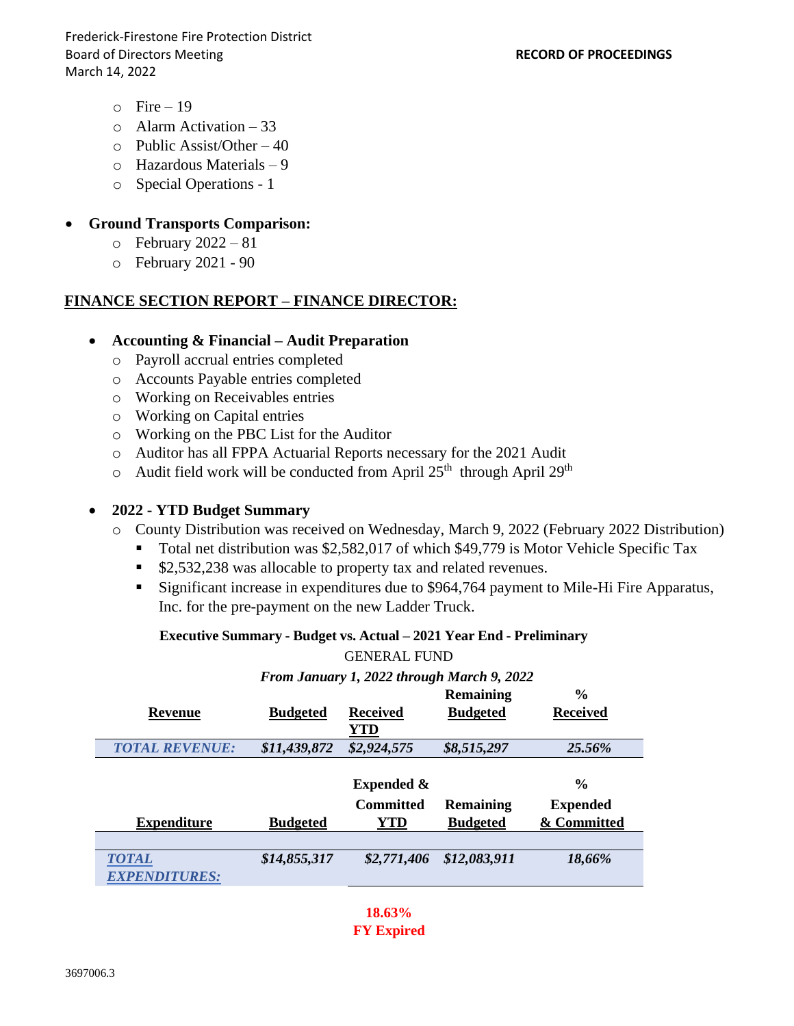Frederick-Firestone Fire Protection District Board of Directors Meeting **RECORD OF PROCEEDINGS** March 14, 2022

- $\circ$  Fire 19
- o Alarm Activation 33
- $\circ$  Public Assist/Other 40
- o Hazardous Materials 9
- o Special Operations 1

#### • **Ground Transports Comparison:**

- $\circ$  February 2022 81
- o February 2021 90

#### **FINANCE SECTION REPORT – FINANCE DIRECTOR:**

#### • **Accounting & Financial – Audit Preparation**

- o Payroll accrual entries completed
- o Accounts Payable entries completed
- o Working on Receivables entries
- o Working on Capital entries
- o Working on the PBC List for the Auditor
- o Auditor has all FPPA Actuarial Reports necessary for the 2021 Audit
- $\circ$  Audit field work will be conducted from April 25<sup>th</sup> through April 29<sup>th</sup>

## • **2022 - YTD Budget Summary**

- o County Distribution was received on Wednesday, March 9, 2022 (February 2022 Distribution)
	- Total net distribution was \$2,582,017 of which \$49,779 is Motor Vehicle Specific Tax
	- \$2,532,238 was allocable to property tax and related revenues.
	- Significant increase in expenditures due to \$964,764 payment to Mile-Hi Fire Apparatus, Inc. for the pre-payment on the new Ladder Truck.

#### **Executive Summary - Budget vs. Actual – 2021 Year End - Preliminary**

#### GENERAL FUND

*From January 1, 2022 through March 9, 2022*

|                       |                 |                       | <b>Remaining</b> | $\frac{6}{6}$   |
|-----------------------|-----------------|-----------------------|------------------|-----------------|
| Revenue               | <b>Budgeted</b> | Received              | <b>Budgeted</b>  | <b>Received</b> |
|                       |                 | YTD                   |                  |                 |
| <b>TOTAL REVENUE:</b> | \$11,439,872    | \$2,924,575           | \$8,515,297      | 25.56%          |
|                       |                 |                       |                  |                 |
|                       |                 | <b>Expended &amp;</b> |                  | $\frac{0}{0}$   |
|                       |                 | <b>Committed</b>      | <b>Remaining</b> | <b>Expended</b> |
|                       |                 |                       |                  |                 |
| <b>Expenditure</b>    | <b>Budgeted</b> | YTD                   | <b>Budgeted</b>  | & Committed     |
|                       |                 |                       |                  |                 |
| <b>TOTAL</b>          | \$14,855,317    | \$2,771,406           | \$12,083,911     | 18,66%          |
| <b>EXPENDITURES:</b>  |                 |                       |                  |                 |

**18.63% FY Expired**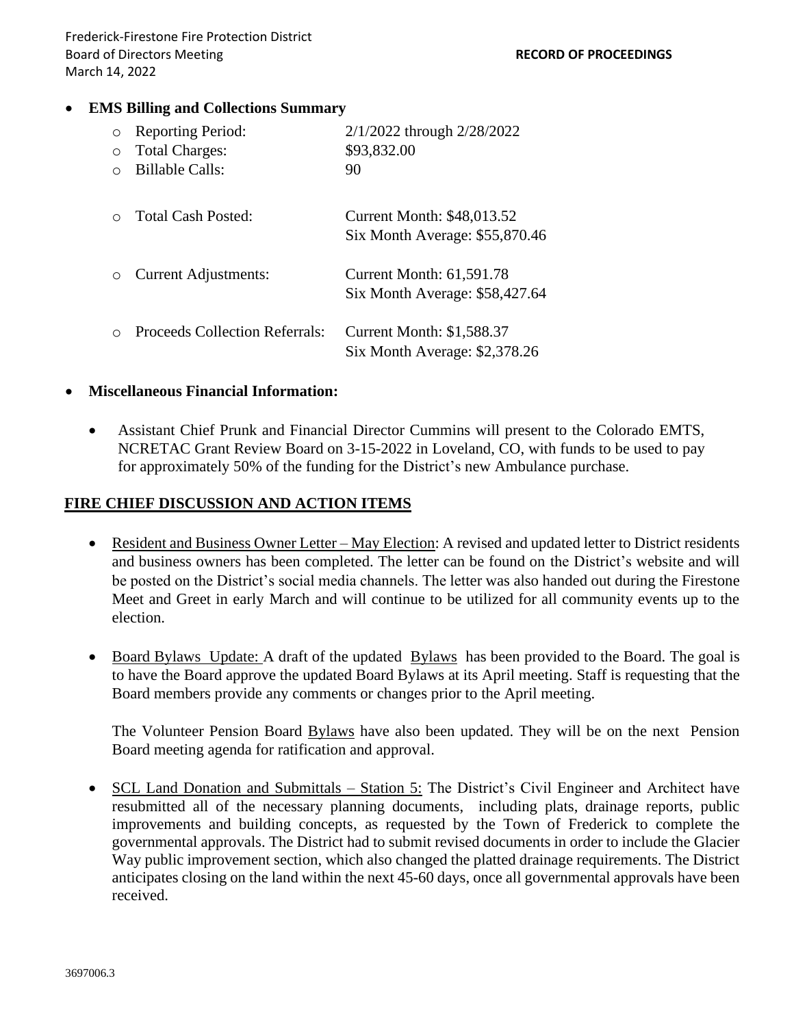## • **EMS Billing and Collections Summary**

| $\circ$ | <b>Reporting Period:</b>              | 2/1/2022 through 2/28/2022                                          |
|---------|---------------------------------------|---------------------------------------------------------------------|
| $\circ$ | <b>Total Charges:</b>                 | \$93,832.00                                                         |
|         | <b>Billable Calls:</b>                | 90                                                                  |
|         | Total Cash Posted:                    | <b>Current Month: \$48,013.52</b><br>Six Month Average: \$55,870.46 |
|         | <b>Current Adjustments:</b>           | <b>Current Month: 61,591.78</b><br>Six Month Average: \$58,427.64   |
|         | <b>Proceeds Collection Referrals:</b> | <b>Current Month: \$1,588.37</b><br>Six Month Average: \$2,378.26   |

#### • **Miscellaneous Financial Information:**

• Assistant Chief Prunk and Financial Director Cummins will present to the Colorado EMTS, NCRETAC Grant Review Board on 3-15-2022 in Loveland, CO, with funds to be used to pay for approximately 50% of the funding for the District's new Ambulance purchase.

## **FIRE CHIEF DISCUSSION AND ACTION ITEMS**

- Resident and Business Owner Letter May Election: A revised and updated letter to District residents and business owners has been completed. The letter can be found on the District's website and will be posted on the District's social media channels. The letter was also handed out during the Firestone Meet and Greet in early March and will continue to be utilized for all community events up to the election.
- Board Bylaws Update: A draft of the updated Bylaws has been provided to the Board. The goal is to have the Board approve the updated Board Bylaws at its April meeting. Staff is requesting that the Board members provide any comments or changes prior to the April meeting.

The Volunteer Pension Board Bylaws have also been updated. They will be on the next Pension Board meeting agenda for ratification and approval.

• SCL Land Donation and Submittals – Station 5: The District's Civil Engineer and Architect have resubmitted all of the necessary planning documents, including plats, drainage reports, public improvements and building concepts, as requested by the Town of Frederick to complete the governmental approvals. The District had to submit revised documents in order to include the Glacier Way public improvement section, which also changed the platted drainage requirements. The District anticipates closing on the land within the next 45-60 days, once all governmental approvals have been received.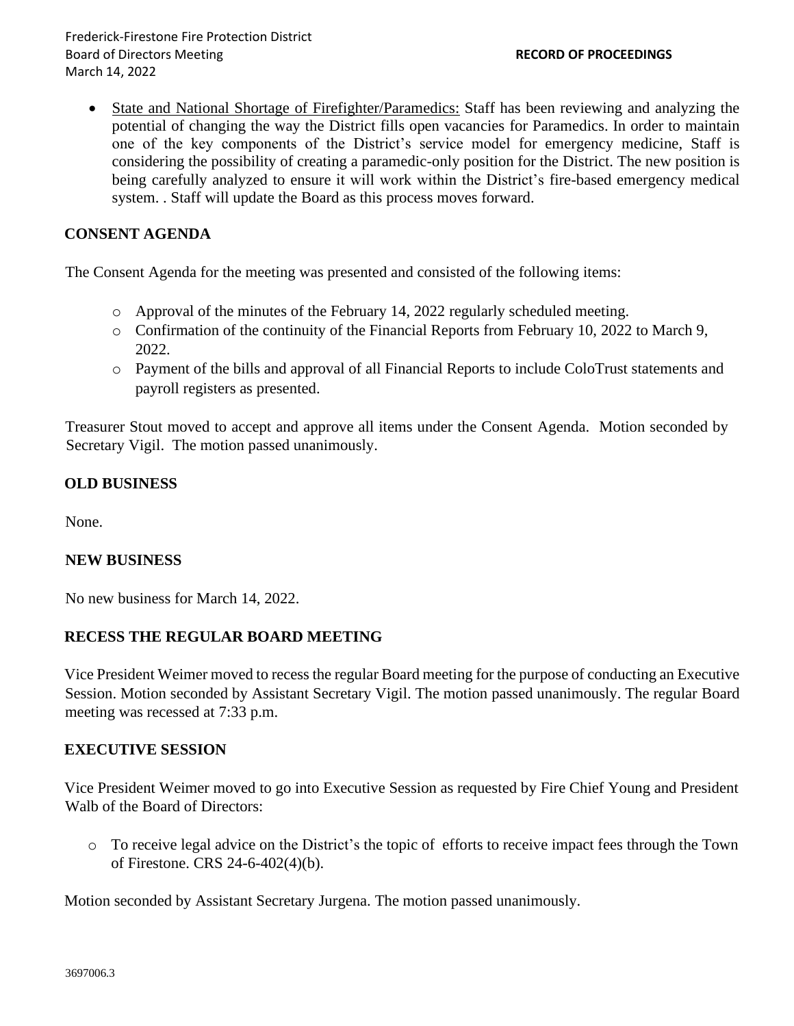Frederick-Firestone Fire Protection District Board of Directors Meeting **RECORD OF PROCEEDINGS** March 14, 2022

• State and National Shortage of Firefighter/Paramedics: Staff has been reviewing and analyzing the potential of changing the way the District fills open vacancies for Paramedics. In order to maintain one of the key components of the District's service model for emergency medicine, Staff is considering the possibility of creating a paramedic-only position for the District. The new position is being carefully analyzed to ensure it will work within the District's fire-based emergency medical system. . Staff will update the Board as this process moves forward.

## **CONSENT AGENDA**

The Consent Agenda for the meeting was presented and consisted of the following items:

- $\circ$  Approval of the minutes of the February 14, 2022 regularly scheduled meeting.
- o Confirmation of the continuity of the Financial Reports from February 10, 2022 to March 9, 2022.
- o Payment of the bills and approval of all Financial Reports to include ColoTrust statements and payroll registers as presented.

Treasurer Stout moved to accept and approve all items under the Consent Agenda. Motion seconded by Secretary Vigil. The motion passed unanimously.

## **OLD BUSINESS**

None.

## **NEW BUSINESS**

No new business for March 14, 2022.

## **RECESS THE REGULAR BOARD MEETING**

Vice President Weimer moved to recess the regular Board meeting for the purpose of conducting an Executive Session. Motion seconded by Assistant Secretary Vigil. The motion passed unanimously. The regular Board meeting was recessed at 7:33 p.m.

#### **EXECUTIVE SESSION**

Vice President Weimer moved to go into Executive Session as requested by Fire Chief Young and President Walb of the Board of Directors:

o To receive legal advice on the District's the topic of efforts to receive impact fees through the Town of Firestone. CRS 24-6-402(4)(b).

Motion seconded by Assistant Secretary Jurgena. The motion passed unanimously.